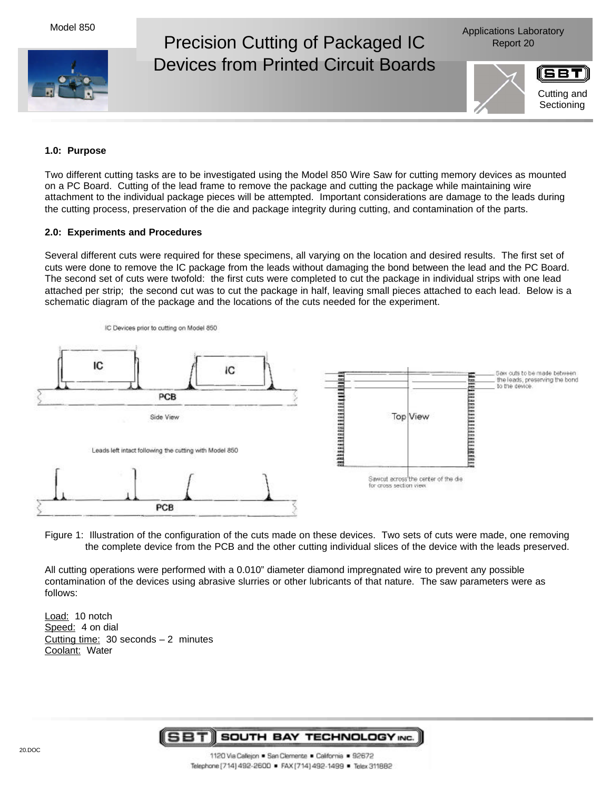Model 850



Applications Laboratory

## **1.0: Purpose**

Two different cutting tasks are to be investigated using the Model 850 Wire Saw for cutting memory devices as mounted on a PC Board. Cutting of the lead frame to remove the package and cutting the package while maintaining wire attachment to the individual package pieces will be attempted. Important considerations are damage to the leads during the cutting process, preservation of the die and package integrity during cutting, and contamination of the parts.

## **2.0: Experiments and Procedures**

Several different cuts were required for these specimens, all varying on the location and desired results. The first set of cuts were done to remove the IC package from the leads without damaging the bond between the lead and the PC Board. The second set of cuts were twofold: the first cuts were completed to cut the package in individual strips with one lead attached per strip; the second cut was to cut the package in half, leaving small pieces attached to each lead. Below is a schematic diagram of the package and the locations of the cuts needed for the experiment.



Figure 1: Illustration of the configuration of the cuts made on these devices. Two sets of cuts were made, one removing the complete device from the PCB and the other cutting individual slices of the device with the leads preserved.

All cutting operations were performed with a 0.010" diameter diamond impregnated wire to prevent any possible contamination of the devices using abrasive slurries or other lubricants of that nature. The saw parameters were as follows:

Load: 10 notch Speed: 4 on dial Cutting time:  $30$  seconds  $-2$  minutes Coolant: Water